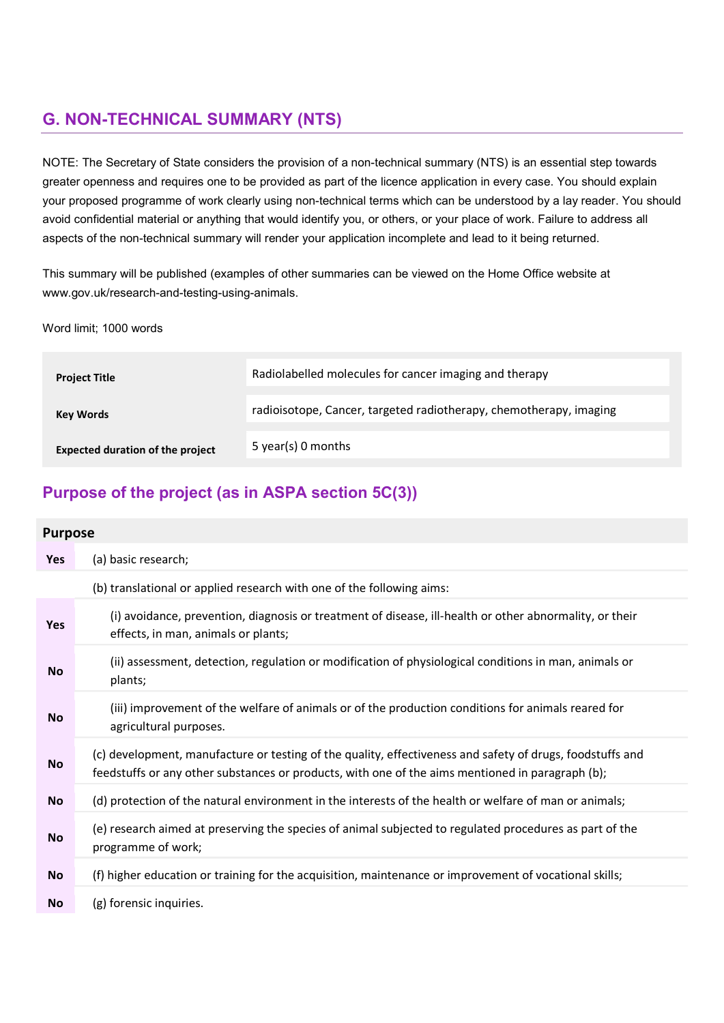# G. NON-TECHNICAL SUMMARY (NTS)

NOTE: The Secretary of State considers the provision of a non-technical summary (NTS) is an essential step towards greater openness and requires one to be provided as part of the licence application in every case. You should explain your proposed programme of work clearly using non-technical terms which can be understood by a lay reader. You should avoid confidential material or anything that would identify you, or others, or your place of work. Failure to address all aspects of the non-technical summary will render your application incomplete and lead to it being returned.

This summary will be published (examples of other summaries can be viewed on the Home Office website at www.gov.uk/research-and-testing-using-animals.

Word limit; 1000 words

| <b>Project Title</b>                    | Radiolabelled molecules for cancer imaging and therapy             |
|-----------------------------------------|--------------------------------------------------------------------|
| <b>Key Words</b>                        | radioisotope, Cancer, targeted radiotherapy, chemotherapy, imaging |
| <b>Expected duration of the project</b> | 5 year(s) 0 months                                                 |

## Purpose of the project (as in ASPA section 5C(3))

| <b>Purpose</b> |                                                                                                                                                                                                               |
|----------------|---------------------------------------------------------------------------------------------------------------------------------------------------------------------------------------------------------------|
| <b>Yes</b>     | (a) basic research;                                                                                                                                                                                           |
|                | (b) translational or applied research with one of the following aims:                                                                                                                                         |
| Yes            | (i) avoidance, prevention, diagnosis or treatment of disease, ill-health or other abnormality, or their<br>effects, in man, animals or plants;                                                                |
| <b>No</b>      | (ii) assessment, detection, regulation or modification of physiological conditions in man, animals or<br>plants;                                                                                              |
| <b>No</b>      | (iii) improvement of the welfare of animals or of the production conditions for animals reared for<br>agricultural purposes.                                                                                  |
| <b>No</b>      | (c) development, manufacture or testing of the quality, effectiveness and safety of drugs, foodstuffs and<br>feedstuffs or any other substances or products, with one of the aims mentioned in paragraph (b); |
| <b>No</b>      | (d) protection of the natural environment in the interests of the health or welfare of man or animals;                                                                                                        |
| <b>No</b>      | (e) research aimed at preserving the species of animal subjected to regulated procedures as part of the<br>programme of work;                                                                                 |
| <b>No</b>      | (f) higher education or training for the acquisition, maintenance or improvement of vocational skills;                                                                                                        |
| <b>No</b>      | (g) forensic inquiries.                                                                                                                                                                                       |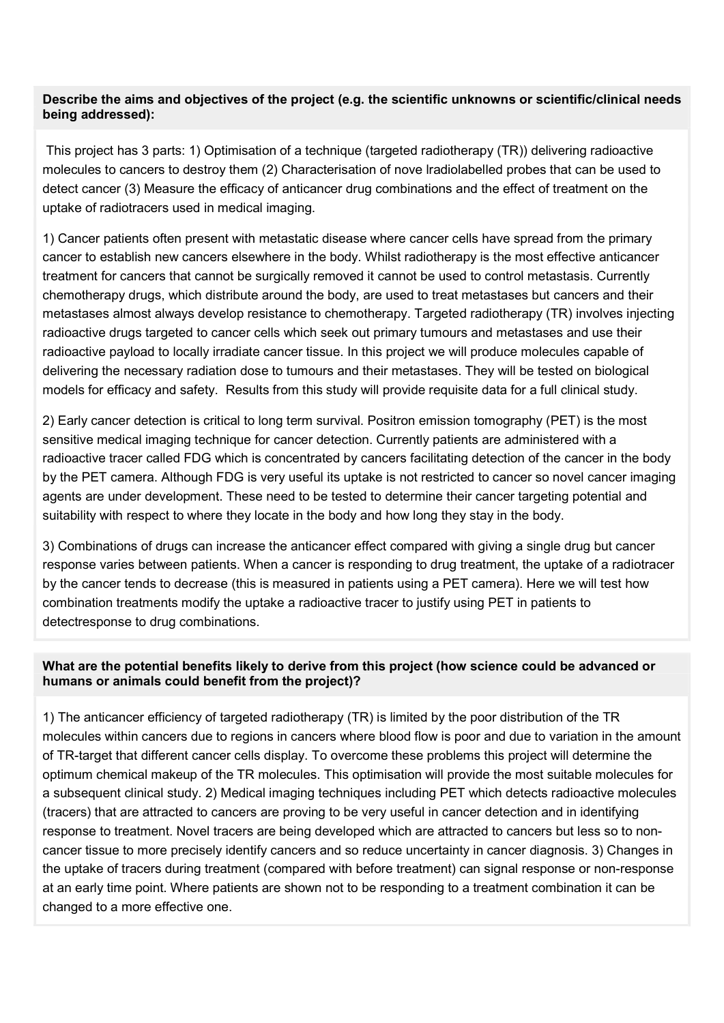### Describe the aims and objectives of the project (e.g. the scientific unknowns or scientific/clinical needs being addressed):

 This project has 3 parts: 1) Optimisation of a technique (targeted radiotherapy (TR)) delivering radioactive molecules to cancers to destroy them (2) Characterisation of nove lradiolabelled probes that can be used to detect cancer (3) Measure the efficacy of anticancer drug combinations and the effect of treatment on the uptake of radiotracers used in medical imaging.

1) Cancer patients often present with metastatic disease where cancer cells have spread from the primary cancer to establish new cancers elsewhere in the body. Whilst radiotherapy is the most effective anticancer treatment for cancers that cannot be surgically removed it cannot be used to control metastasis. Currently chemotherapy drugs, which distribute around the body, are used to treat metastases but cancers and their metastases almost always develop resistance to chemotherapy. Targeted radiotherapy (TR) involves injecting radioactive drugs targeted to cancer cells which seek out primary tumours and metastases and use their radioactive payload to locally irradiate cancer tissue. In this project we will produce molecules capable of delivering the necessary radiation dose to tumours and their metastases. They will be tested on biological models for efficacy and safety. Results from this study will provide requisite data for a full clinical study.

2) Early cancer detection is critical to long term survival. Positron emission tomography (PET) is the most sensitive medical imaging technique for cancer detection. Currently patients are administered with a radioactive tracer called FDG which is concentrated by cancers facilitating detection of the cancer in the body by the PET camera. Although FDG is very useful its uptake is not restricted to cancer so novel cancer imaging agents are under development. These need to be tested to determine their cancer targeting potential and suitability with respect to where they locate in the body and how long they stay in the body.

3) Combinations of drugs can increase the anticancer effect compared with giving a single drug but cancer response varies between patients. When a cancer is responding to drug treatment, the uptake of a radiotracer by the cancer tends to decrease (this is measured in patients using a PET camera). Here we will test how combination treatments modify the uptake a radioactive tracer to justify using PET in patients to detectresponse to drug combinations.

### What are the potential benefits likely to derive from this project (how science could be advanced or humans or animals could benefit from the project)?

1) The anticancer efficiency of targeted radiotherapy (TR) is limited by the poor distribution of the TR molecules within cancers due to regions in cancers where blood flow is poor and due to variation in the amount of TR-target that different cancer cells display. To overcome these problems this project will determine the optimum chemical makeup of the TR molecules. This optimisation will provide the most suitable molecules for a subsequent clinical study. 2) Medical imaging techniques including PET which detects radioactive molecules (tracers) that are attracted to cancers are proving to be very useful in cancer detection and in identifying response to treatment. Novel tracers are being developed which are attracted to cancers but less so to noncancer tissue to more precisely identify cancers and so reduce uncertainty in cancer diagnosis. 3) Changes in the uptake of tracers during treatment (compared with before treatment) can signal response or non-response at an early time point. Where patients are shown not to be responding to a treatment combination it can be changed to a more effective one.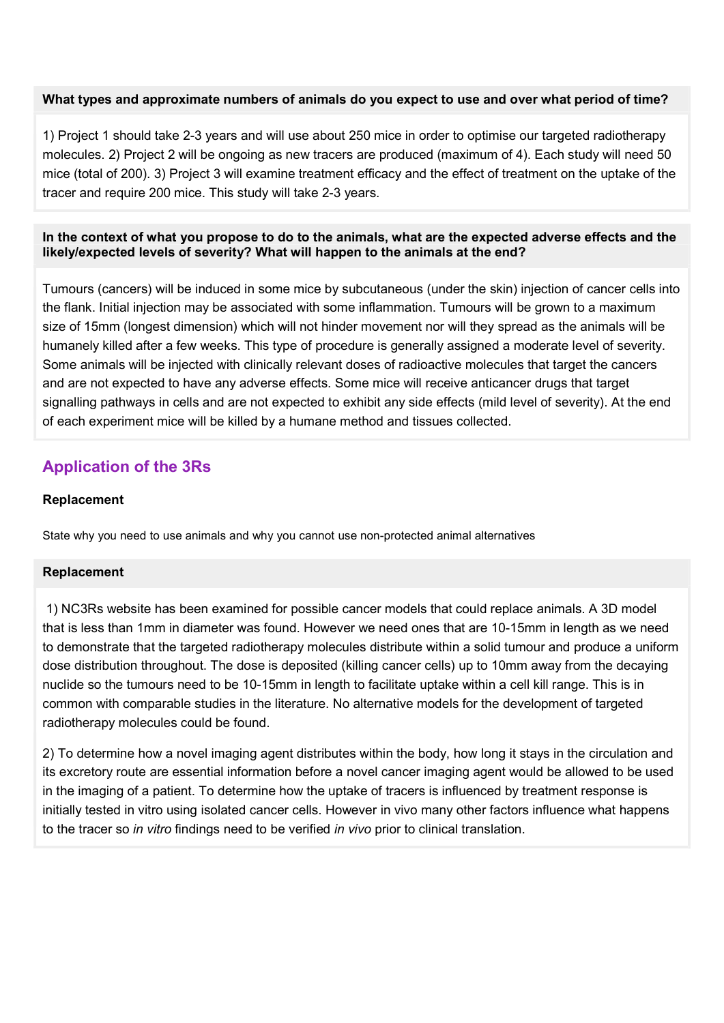#### What types and approximate numbers of animals do you expect to use and over what period of time?

1) Project 1 should take 2-3 years and will use about 250 mice in order to optimise our targeted radiotherapy molecules. 2) Project 2 will be ongoing as new tracers are produced (maximum of 4). Each study will need 50 mice (total of 200). 3) Project 3 will examine treatment efficacy and the effect of treatment on the uptake of the tracer and require 200 mice. This study will take 2-3 years.

### In the context of what you propose to do to the animals, what are the expected adverse effects and the likely/expected levels of severity? What will happen to the animals at the end?

Tumours (cancers) will be induced in some mice by subcutaneous (under the skin) injection of cancer cells into the flank. Initial injection may be associated with some inflammation. Tumours will be grown to a maximum size of 15mm (longest dimension) which will not hinder movement nor will they spread as the animals will be humanely killed after a few weeks. This type of procedure is generally assigned a moderate level of severity. Some animals will be injected with clinically relevant doses of radioactive molecules that target the cancers and are not expected to have any adverse effects. Some mice will receive anticancer drugs that target signalling pathways in cells and are not expected to exhibit any side effects (mild level of severity). At the end of each experiment mice will be killed by a humane method and tissues collected.

## Application of the 3Rs

### Replacement

State why you need to use animals and why you cannot use non-protected animal alternatives

### Replacement

 1) NC3Rs website has been examined for possible cancer models that could replace animals. A 3D model that is less than 1mm in diameter was found. However we need ones that are 10-15mm in length as we need to demonstrate that the targeted radiotherapy molecules distribute within a solid tumour and produce a uniform dose distribution throughout. The dose is deposited (killing cancer cells) up to 10mm away from the decaying nuclide so the tumours need to be 10-15mm in length to facilitate uptake within a cell kill range. This is in common with comparable studies in the literature. No alternative models for the development of targeted radiotherapy molecules could be found.

2) To determine how a novel imaging agent distributes within the body, how long it stays in the circulation and its excretory route are essential information before a novel cancer imaging agent would be allowed to be used in the imaging of a patient. To determine how the uptake of tracers is influenced by treatment response is initially tested in vitro using isolated cancer cells. However in vivo many other factors influence what happens to the tracer so in vitro findings need to be verified in vivo prior to clinical translation.